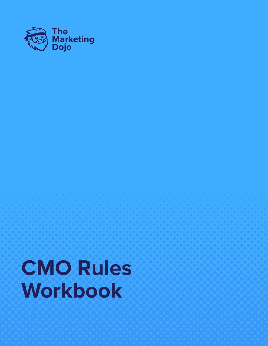

# **CMO Rules Workbook**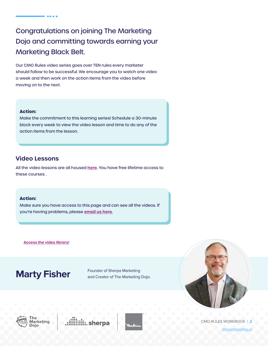## Congratulations on joining The Marketing Dojo and committing towards earning your Marketing Black Belt.

**CONTRACTOR** 

Our CMO Rules video series goes over TEN rules every marketer should follow to be successful. We encourage you to watch one video a week and then work on the action items from the video before moving on to the next.

### **Action:**

Make the commitment to this learning series! Schedule a 30-minute block every week to view the video lesson and time to do any of the action items from the lesson.

## **Video Lessons**

All the video lessons are all housed **[here](https://www.sherpamarketing.ca/dojo/the-rules).** You have free lifetime access to these courses. .

### **Action:**

Make sure you have access to this page and can see all the videos. If you're having problems, please **[email us here](mailto:mfisher%40sherpamarketing.ca?subject=)**.

**[Access the video library!](https://www.sherpamarketing.ca/dojo/the-rules)**

## **Marty Fisher** Founder of Sherpa Marketing

and Creator of The Marketing Dojo.









CMO RULES WORKBOOK | **2**

[sherpamarketing.ca](https://www.sherpamarketing.ca/)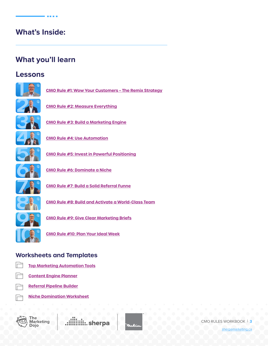## **What's Inside:**

**BEER** 

## **What you'll learn**

## **Lessons**



**[CMO Rule #1: Wow Your Customers – The Remix Strategy](#page-4-0)**



**[CMO Rule #2: Measure Everything](#page-7-0)**



**[CMO Rule #3: Build a Marketing Engine](#page-10-0)**



**[CMO Rule #4: Use Automation](#page-13-0)**



**[CMO Rule #5: Invest in Powerful Positioning](#page-17-0)**



**[CMO Rule #6: Dominate a Niche](#page-22-0)**



**[CMO Rule #7: Build a Solid Referral Funne](#page-25-0)**



**[CMO Rule #8: Build and Activate a World-Class Team](#page-28-0)**



**[CMO Rule #9: Give Clear Marketing Briefs](#page-32-0)**

**[CMO Rule #10: Plan Your Ideal Week](#page-35-0)**

## **Worksheets and Templates**



**[Top Marketing Automation Tools](https://sherpa2020.blob.core.windows.net/documents/dojo-workbooks/TopMarketingAutomationTools.pdf)**



**[Content Engine Planner](https://sherpa2020.blob.core.windows.net/documents/dojo-workbooks/ContentEnginePlanner.pdf)**

**[Referral Pipeline Builder](https://sherpa2020.blob.core.windows.net/documents/dojo-workbooks/ReferralPipelineBuilder.pdf)**

**[Niche Domination Worksheet](https://sherpa2020.blob.core.windows.net/documents/dojo-workbooks/NicheDominatorWorksheet.pdf)**



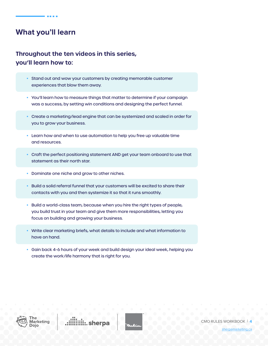## **What you'll learn**

## **Throughout the ten videos in this series, you'll learn how to:**

- Stand out and wow your customers by creating memorable customer experiences that blow them away.
- You'll learn how to measure things that matter to determine if your campaign was a success, by setting win conditions and designing the perfect funnel.
- Create a marketing/lead engine that can be systemized and scaled in order for you to grow your business.
- Learn how and when to use automation to help you free up valuable time and resources.
- Craft the perfect positioning statement AND get your team onboard to use that statement as their north star.
- Dominate one niche and grow to other niches.
- Build a solid referral funnel that your customers will be excited to share their contacts with you and then systemize it so that it runs smoothly.
- Build a world-class team, because when you hire the right types of people, you build trust in your team and give them more responsibilities, letting you focus on building and growing your business.
- Write clear marketing briefs, what details to include and what information to have on hand.
- Gain back 4-6 hours of your week and build design your ideal week, helping you create the work/life harmony that is right for you.



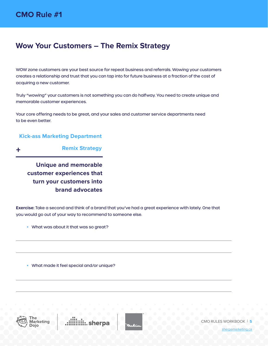## <span id="page-4-0"></span>**Wow Your Customers – The Remix Strategy**

WOW zone customers are your best source for repeat business and referrals. Wowing your customers creates a relationship and trust that you can tap into for future business at a fraction of the cost of acquiring a new customer.

Truly "wowing" your customers is not something you can do halfway. You need to create unique and memorable customer experiences.

Your core offering needs to be great, and your sales and customer service departments need to be even better.

### **Kick-ass Marketing Department**

**Remix Strategy** +

**Unique and memorable customer experiences that turn your customers into brand advocates**

**Exercise:** Take a second and think of a brand that you've had a great experience with lately. One that you would go out of your way to recommend to someone else.

• What was about it that was so great?

• What made it feel special and/or unique?



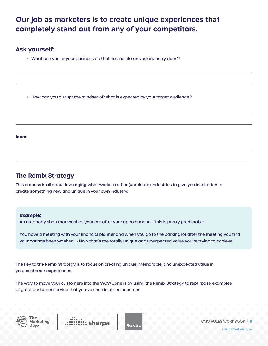## **Our job as marketers is to create unique experiences that completely stand out from any of your competitors.**

## **Ask yourself:**

• What can you or your business do that no one else in your industry does?

• How can you disrupt the mindset of what is expected by your target audience?

**Ideas**

## **The Remix Strategy**

This process is all about leveraging what works in other (unrelated) industries to give you inspiration to create something new and unique in your own industry.

### **Example:**

An autobody shop that washes your car after your appointment. – This is pretty predictable.

You have a meeting with your financial planner and when you go to the parking lot after the meeting you find your car has been washed. - Now that's the totally unique and unexpected value you're trying to achieve.

The key to the Remix Strategy is to focus on creating unique, memorable, and unexpected value in your customer experiences.

The way to move your customers into the WOW Zone is by using the Remix Strategy to repurpose examples of great customer service that you've seen in other industries.







CMO RULES WORKBOOK | **6**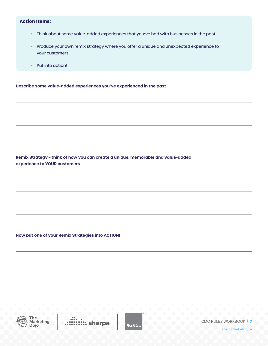### **Action Items:**

- Think about some value-added experiences that you've had with businesses in the past
- Produce your own remix strategy where you offer a unique and unexpected experience to your customers.
- Put into action!

**Describe some value-added experiences you've experienced in the past** 

**Remix Strategy – think of how you can create a unique, memorable and value-added experience to YOUR customers** 

**Now put one of your Remix Strategies into ACTION!** 



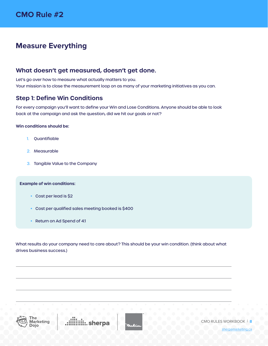## <span id="page-7-0"></span>**Measure Everything**

## **What doesn't get measured, doesn't get done.**

Let's go over how to measure what actually matters to you. Your mission is to close the measurement loop on as many of your marketing initiatives as you can.

## **Step 1: Define Win Conditions**

For every campaign you'll want to define your Win and Lose Conditions. Anyone should be able to look back at the campaign and ask the question, did we hit our goals or not?

### **Win conditions should be:**

- 1. Quantifiable
- 2. Measurable
- 3. Tangible Value to the Company

### **Example of win conditions:**

- Cost per lead is \$2
- Cost per qualified sales meeting booked is \$400
- Return on Ad Spend of 4:1

What results do your company need to care about? This should be your win condition. (think about what drives business success.)



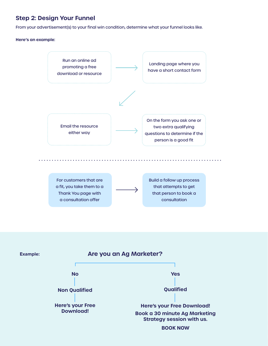## **Step 2: Design Your Funnel**

From your advertisement(s) to your final win condition, determine what your funnel looks like.

### **Here's an example:**



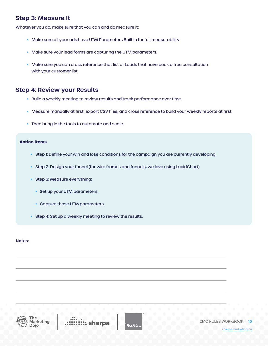## **Step 3: Measure It**

Whatever you do, make sure that you can and do measure it:

- Make sure all your ads have UTM Parameters Built in for full measurability
- Make sure your lead forms are capturing the UTM parameters.
- Make sure you can cross reference that list of Leads that have book a free consultation with your customer list

### **Step 4: Review your Results**

- Build a weekly meeting to review results and track performance over time.
- Measure manually at first, export CSV files, and cross reference to build your weekly reports at first.
- Then bring in the tools to automate and scale.

### **Action Items**

- Step 1: Define your win and lose conditions for the campaign you are currently developing.
- Step 2: Design your funnel (for wire frames and funnels, we love using LucidChart)
- Step 3: Measure everything:
	- Set up your UTM parameters.
	- Capture those UTM parameters.
- Step 4: Set up a weekly meeting to review the results.

#### **Notes:**



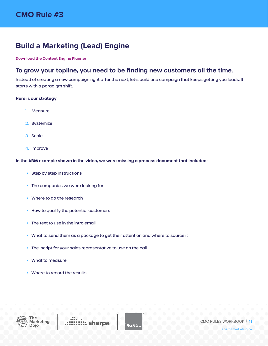## <span id="page-10-0"></span>**Build a Marketing (Lead) Engine**

### **[Download the Content Engine Planner](https://sherpa2020.blob.core.windows.net/documents/dojo-workbooks/ContentEnginePlanner.pdf)**

## **To grow your topline, you need to be finding new customers all the time.**

Instead of creating a new campaign right after the next, let's build one campaign that keeps getting you leads. It starts with a paradigm shift.

### **Here is our strategy**

- 1. Measure
- 2. Systemize
- 3. Scale
- 4. Improve

### **In the ABM example shown in the video, we were missing a process document that included:**

- Step by step instructions
- The companies we were looking for
- Where to do the research
- How to qualify the potential customers
- The text to use in the intro email
- What to send them as a package to get their attention and where to source it
- The script for your sales representative to use on the call
- What to measure
- Where to record the results



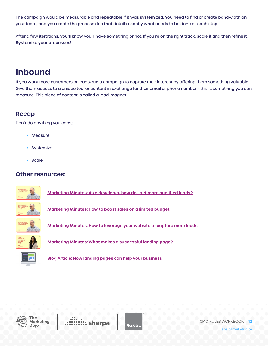The campaign would be measurable and repeatable if it was systemized. You need to find or create bandwidth on your team, and you create the process doc that details exactly what needs to be done at each step.

After a few iterations, you'll know you'll have something or not. If you're on the right track, scale it and then refine it. **Systemize your processes!**

## **Inbound**

If you want more customers or leads, run a campaign to capture their interest by offering them something valuable. Give them access to a unique tool or content in exchange for their email or phone number - this is something you can measure. This piece of content is called a lead-magnet.

## **Recap**

Don't do anything you can't:

- Measure
- Systemize
- Scale

## **Other resources:**



**[Marketing Minutes: As a developer, how do I get more qualified leads?](https://youtu.be/Min2hwYH3Qo)**



**[Marketing Minutes: How to boost sales on a limited budget](https://youtu.be/6OIGmbPVZYg)** 



**[Marketing Minutes: How to leverage your website to capture more leads](https://youtu.be/d8DEgWVbfvo)** 



**[Marketing Minutes: What makes a successful landing page?](https://youtu.be/zHOjkiXbVko)** 



**[Blog Article: How landing pages can help your business](https://www.sherpamarketing.ca/sherpamarketing/blog/landing-pages-blog)**



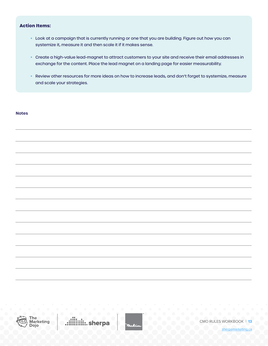### **Action Items:**

- Look at a campaign that is currently running or one that you are building. Figure out how you can systemize it, measure it and then scale it if it makes sense.
- Create a high-value lead-magnet to attract customers to your site and receive their email addresses in exchange for the content. Place the lead magnet on a landing page for easier measurability.
- Review other resources for more ideas on how to increase leads, and don't forget to systemize, measure and scale your strategies.

### **Notes**



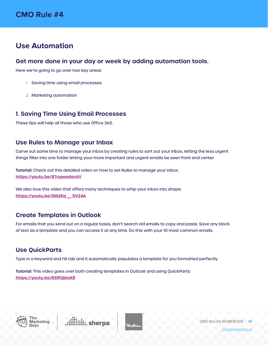## <span id="page-13-0"></span>**Use Automation**

## **Get more done in your day or week by adding automation tools.**

Here we're going to go over two key areas:

- 1. Saving time using email processes
- 2. Marketing automation

### **1. Saving Time Using Email Processes**

These tips will help all those who use Office 365.

### **Use Rules to Manage your Inbox**

Carve out some time to manage your inbox by creating rules to sort out your inbox, letting the less urgent things filter into one folder letting your more important and urgent emails be seen front and center.

**Tutorial:** Check out this detailed video on how to set Rules to manage your inbox: **<https://youtu.be/87cqwadac6Y>**

We also love this video that offers many techniques to whip your inbox into shape: **[https://youtu.be/5M2Kq \\_ 5V24A](https://youtu.be/5M2Kq_5V24A)**

## **Create Templates in Outlook**

For emails that you send out on a regular basis, don't search old emails to copy and paste. Save any block of text as a template and you can access it at any time. Do this with your 10 most common emails.

## **Use QuickParts**

Type in a keyword and hit tab and it automatically populates a template for you formatted perfectly.

**Tutorial**: This video goes over both creating templates in Outlook and using QuickParts: **<https://youtu.be/RSlfhjbIoK8>**



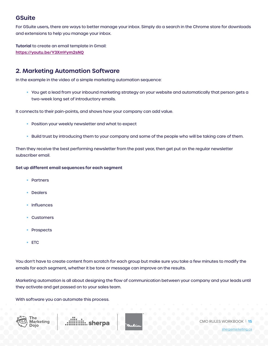## **GSuite**

For GSuite users, there are ways to better manage your inbox. Simply do a search in the Chrome store for downloads and extensions to help you manage your inbox.

**Tutorial** to create an email template in Gmail: **<https://youtu.be/Y3XmYym2sNQ>**

## **2. Marketing Automation Software**

In the example in the video of a simple marketing automation sequence:

• You get a lead from your inbound marketing strategy on your website and automatically that person gets a two-week long set of introductory emails.

It connects to their pain-points, and shows how your company can add value.

- Position your weekly newsletter and what to expect
- Build trust by introducing them to your company and some of the people who will be taking care of them.

Then they receive the best performing newsletter from the past year, then get put on the regular newsletter subscriber email.

### **Set up different email sequences for each segment**

- Partners
- **Dealers**
- Influences
- **Customers**
- **Prospects**
- ETC

You don't have to create content from scratch for each group but make sure you take a few minutes to modify the emails for each segment, whether it be tone or message can improve on the results.

Marketing automation is all about designing the flow of communication between your company and your leads until they activate and get passed on to your sales team.

With software you can automate this process.





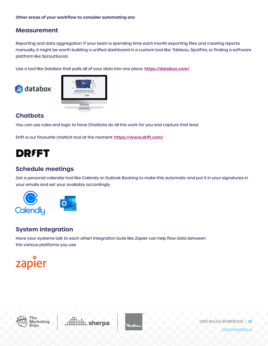## **Measurement**

Reporting and data aggregation: If your team is spending time each month exporting files and creating reports manually, it might be worth building a unified dashboard in a custom tool like: Tableau, SpotFire, or finding a software platform like SproutSocial.

Use a tool like Databox that pulls all of your data into one place. **<https://databox.com/>**





## **Chatbots**

You can use rules and logic to have Chatbots do all the work for you and capture that lead.

Drift is our favourite chatbot tool at the moment: **<https://www.drift.com/>**

## **DREFT**

## **Schedule meetings**

Get a personal calendar tool like Calendy or Outlook Booking to make this automatic and put it in your signatures in your emails and set your availably accordingly.



## **System integration**

Have your systems talk to each other! Integration tools like Zapier can help flow data between the various platforms you use.





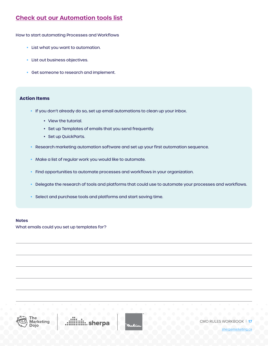## **[Check out our Automation tools list](https://sherpa2020.blob.core.windows.net/documents/dojo-workbooks/TopMarketingAutomationTools.pdf)**

How to start automating Processes and Workflows

- List what you want to automation.
- List out business objectives.
- Get someone to research and implement.

### **Action Items**

- If you don't already do so, set up email automations to clean up your inbox.
	- View the tutorial.
	- Set up Templates of emails that you send frequently.
	- Set up QuickParts.
- Research marketing automation software and set up your first automation sequence.
- Make a list of regular work you would like to automate.
- Find opportunities to automate processes and workflows in your organization.
- Delegate the research of tools and platforms that could use to automate your processes and workflows.
- Select and purchase tools and platforms and start saving time.

### **Notes**

What emails could you set up templates for?



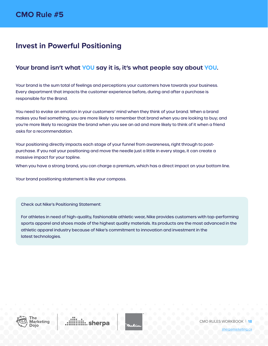## <span id="page-17-0"></span>**Invest in Powerful Positioning**

## **Your brand isn't what YOU say it is, it's what people say about YOU.**

Your brand is the sum total of feelings and perceptions your customers have towards your business. Every department that impacts the customer experience before, during and after a purchase is responsible for the Brand.

You need to evoke an emotion in your customers' mind when they think of your brand. When a brand makes you feel something, you are more likely to remember that brand when you are looking to buy; and you're more likely to recognize the brand when you see an ad and more likely to think of it when a friend asks for a recommendation.

Your positioning directly impacts each stage of your funnel from awareness, right through to postpurchase. If you nail your positioning and move the needle just a little in every stage, it can create a massive impact for your topline.

When you have a strong brand, you can charge a premium, which has a direct impact on your bottom line.

Your brand positioning statement is like your compass.

Check out Nike's Positioning Statement:

For athletes in need of high-quality, fashionable athletic wear, Nike provides customers with top-performing sports apparel and shoes made of the highest quality materials. Its products are the most advanced in the athletic apparel industry because of Nike's commitment to innovation and investment in the latest technologies.



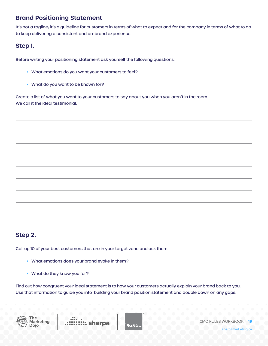## **Brand Positioning Statement**

It's not a tagline, it's a guideline for customers in terms of what to expect and for the company in terms of what to do to keep delivering a consistent and on-brand experience.

## **Step 1.**

Before writing your positioning statement ask yourself the following questions:

- What emotions do you want your customers to feel?
- What do you want to be known for?

Create a list of what you want to your customers to say about you when you aren't in the room. We call it the ideal testimonial.

## **Step 2.**

Call up 10 of your best customers that are in your target zone and ask them:

- What emotions does your brand evoke in them?
- What do they know you for?

Find out how congruent your ideal statement is to how your customers actually explain your brand back to you. Use that information to guide you into building your brand position statement and double down on any gaps.





CMO RULES WORKBOOK | **19**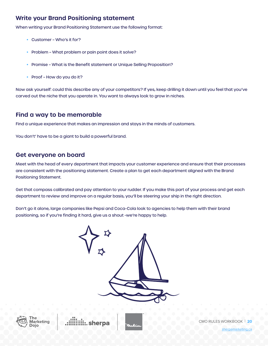## **Write your Brand Positioning statement**

When writing your Brand Positioning Statement use the following format:

- Customer Who's it for?
- Problem What problem or pain point does it solve?
- Promise What is the Benefit statement or Unique Selling Proposition?
- Proof How do you do it?

Now ask yourself: could this describe any of your competitors? If yes, keep drilling it down until you feel that you've carved out the niche that you operate in. You want to always look to grow in niches.

## **Find a way to be memorable**

Find a unique experience that makes an impression and stays in the minds of customers.

You don't' have to be a giant to build a powerful brand.

### **Get everyone on board**

Meet with the head of every department that impacts your customer experience and ensure that their processes are consistent with the positioning statement. Create a plan to get each department aligned with the Brand Positioning Statement.

Get that compass calibrated and pay attention to your rudder. If you make this part of your process and get each department to review and improve on a regular basis, you'll be steering your ship in the right direction.

Don't go it alone, large companies like Pepsi and Coca-Cola look to agencies to help them with their brand positioning, so if you're finding it hard, give us a shout -we're happy to help.





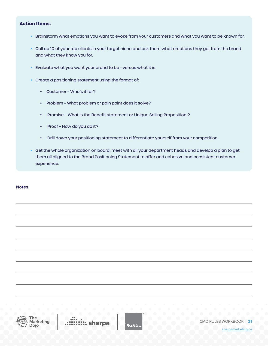### **Action Items:**

- Brainstorm what emotions you want to evoke from your customers and what you want to be known for.
- Call up 10 of your top clients in your target niche and ask them what emotions they get from the brand and what they know you for.
- Evaluate what you want your brand to be versus what it is.
- Create a positioning statement using the format of:
	- Customer Who's it for?
	- Problem What problem or pain point does it solve?
	- Promise What is the Benefit statement or Unique Selling Proposition ?
	- Proof How do you do it?
	- Drill down your positioning statement to differentiate yourself from your competition.
- Get the whole organization on board, meet with all your department heads and develop a plan to get them all aligned to the Brand Positioning Statement to offer and cohesive and consistent customer experience.

**Notes**



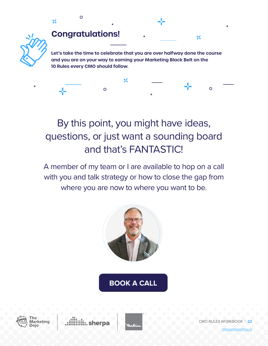

 $\overline{O}$ 

## By this point, you might have ideas, questions, or just want a sounding board and that's FANTASTIC!

A member of my team or I are available to hop on a call with you and talk strategy or how to close the gap from where you are now to where you want to be.



## **[BOOK A CALL](http://sherpamarketing.ca/strategy-session)**





 $\Omega$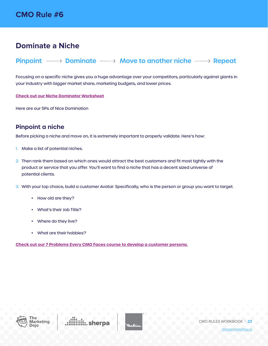## <span id="page-22-0"></span>**Dominate a Niche**

## **Pinpoint**  $\cdots$  **Dominate**  $\cdots$  **Move to another niche**  $\cdots$  **Repeat**

Focusing on a specific niche gives you a huge advantage over your competitors, particularly against giants in your industry with bigger market share, marketing budgets, and lower prices.

**[Check out our Niche Dominator Worksheet](https://sherpa2020.blob.core.windows.net/documents/dojo-workbooks/NicheDominatorWorksheet.pdf)**

Here are our 5Ps of Nice Domination

## **Pinpoint a niche**

Before picking a niche and move on, it is extremely important to properly validate. Here's how:

- 1. Make a list of potential niches.
- 2. Then rank them based on which ones would attract the best customers and fit most tightly with the product or service that you offer. You'll want to find a niche that has a decent sized universe of potential clients.
- 3. With your top choice, build a customer Avatar. Specifically, who is the person or group you want to target.
	- How old are they?
	- What's their Job Title?
	- Where do they live?
	- What are their hobbies?

**[Check out our 7 Problems Every CMO Faces course to develop a customer persona.](https://www.sherpamarketing.ca/dojo/the-problems)**



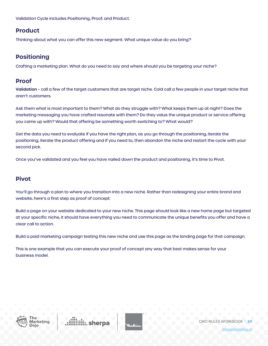Validation Cycle includes Positioning, Proof, and Product.

## **Product**

Thinking about what you can offer this new segment. What unique value do you bring?

## **Positioning**

Crafting a marketing plan. What do you need to say and where should you be targeting your niche?

## **Proof**

**Validation** – call a few of the target customers that are target niche. Cold call a few people in your target niche that aren't customers.

Ask them what is most important to them? What do they struggle with? What keeps them up at night? Does the marketing messaging you have crafted resonate with them? Do they value the unique product or service offering you came up with? Would that offering be something worth switching to? What would?

Get the data you need to evaluate if you have the right plan, as you go through the positioning, iterate the positioning, iterate the product offering and if you need to, then abandon the niche and restart the cycle with your second pick.

Once you've validated and you feel you have nailed down the product and positioning, it's time to Pivot.

## **Pivot**

You'll go through a plan to where you transition into a new niche. Rather than redesigning your entire brand and website, here's a first step as proof of concept:

Build a page on your website dedicated to your new niche. This page should look like a new home page but targeted at your specific niche, it should have everything you need to communicate the unique benefits you offer and have a clear call to action.

Build a paid marketing campaign testing this new niche and use this page as the landing page for that campaign.

This is one example that you can execute your proof of concept any way that best makes sense for your business model.



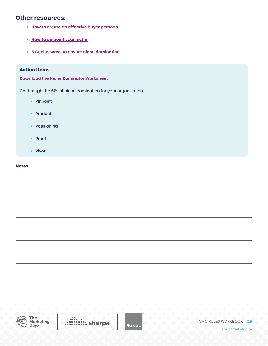### **Other resources:**

- **• [How to create an effective buyer persona](https://www.sherpamarketing.ca/how-to-create-an-effective-buyer-persona-618)**
- **• [How to pinpoint your niche](https://www.sherpamarketing.ca/how-to-pinpoint-your-niche-608)**
- **• [5 Genius ways to ensure niche domination](https://www.sherpamarketing.ca/5-genius-ways-to-ensure-niche-domination--610)**

### **Action Items:**

**[Download the Niche Dominator Worksheet](https://sherpa2020.blob.core.windows.net/documents/dojo-workbooks/NicheDominatorWorksheet.pdf)**

Go through the 5Ps of niche domination for your organization:

- Pinpoint
- Product
- Positioning
- Proof
- Pivot

### **Notes**



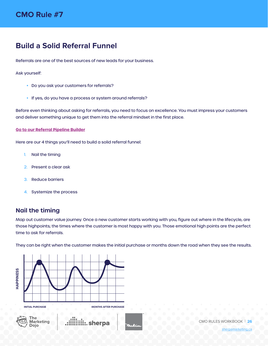## <span id="page-25-0"></span>**Build a Solid Referral Funnel**

Referrals are one of the best sources of new leads for your business.

Ask yourself:

- Do you ask your customers for referrals?
- If yes, do you have a process or system around referrals?

Before even thinking about asking for referrals, you need to focus on excellence. You must impress your customers and deliver something unique to get them into the referral mindset in the first place.

#### **[Go to our Referral Pipeline Builder](https://sherpa2020.blob.core.windows.net/documents/dojo-workbooks/ReferralPipelineBuilder.pdf)**

Here are our 4 things you'll need to build a solid referral funnel:

- 1. Nail the timing
- 2. Present a clear ask
- 3. Reduce barriers
- 4. Systemize the process

## **Nail the timing**

Map out customer value journey. Once a new customer starts working with you, figure out where in the lifecycle, are those highpoints; the times where the customer is most happy with you. Those emotional high points are the perfect time to ask for referrals.

They can be right when the customer makes the initial purchase or months down the road when they see the results.



CMO RULES WORKBOOK | **26**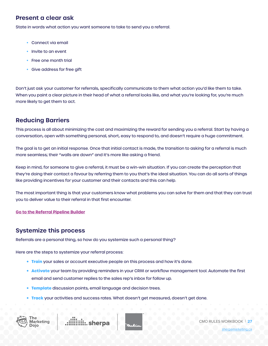## **Present a clear ask**

State in words what action you want someone to take to send you a referral.

- Connect via email
- Invite to an event
- Free one month trial
- Give address for free gift

Don't just ask your customer for referrals, specifically communicate to them what action you'd like them to take. When you paint a clear picture in their head of what a referral looks like, and what you're looking for, you're much more likely to get them to act.

## **Reducing Barriers**

This process is all about minimizing the cost and maximizing the reward for sending you a referral. Start by having a conversation, open with something personal, short, easy to respond to, and doesn't require a huge commitment.

The goal is to get an initial response. Once that initial contact is made, the transition to asking for a referral is much more seamless; their "walls are down" and it's more like asking a friend.

Keep in mind, for someone to give a referral, it must be a win-win situation. If you can create the perception that they're doing their contact a favour by referring them to you that's the ideal situation. You can do all sorts of things like providing incentives for your customer and their contacts and this can help.

The most important thing is that your customers know what problems you can solve for them and that they can trust you to deliver value to their referral in that first encounter.

### **[Go to the Referral Pipeline Builder](https://sherpa2020.blob.core.windows.net/documents/dojo-workbooks/ReferralPipelineBuilder.pdf)**

### **Systemize this process**

Referrals are a personal thing, so how do you systemize such a personal thing?

Here are the steps to systemize your referral process:

- **• Train** your sales or account executive people on this process and how it's done.
- **• Activate** your team by providing reminders in your CRM or workflow management tool. Automate the first email and send customer replies to the sales rep's inbox for follow up.
- **• Template** discussion points, email language and decision trees.
- **• Track** your activities and success rates. What doesn't get measured, doesn't get done.







CMO RULES WORKBOOK | **27**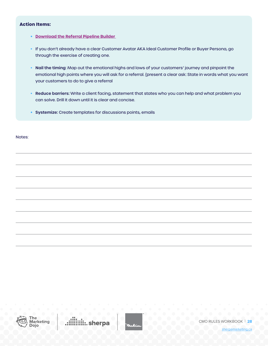### **Action Items:**

- **• [Download the Referral Pipeline Builder](https://sherpa2020.blob.core.windows.net/documents/dojo-workbooks/ReferralPipelineBuilder.pdf)**
- If you don't already have a clear Customer Avatar AKA Ideal Customer Profile or Buyer Persona, go through the exercise of creating one.
- **Nail the timing**: Map out the emotional highs and lows of your customers' journey and pinpoint the emotional high points where you will ask for a referral. {present a clear ask: State in words what you want your customers to do to give a referral
- **Reduce barriers:** Write a client facing, statement that states who you can help and what problem you can solve. Drill it down until it is clear and concise.
- **• Systemize:** Create templates for discussions points, emails

Notes:



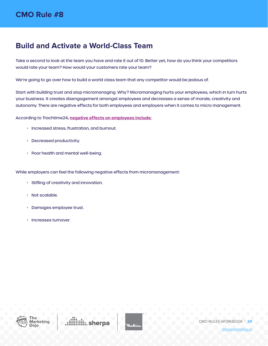## <span id="page-28-0"></span>**Build and Activate a World-Class Team**

Take a second to look at the team you have and rate it out of 10. Better yet, how do you think your competitors would rate your team? How would your customers rate your team?

We're going to go over how to build a world class team that any competitor would be jealous of.

Start with building trust and stop micromanaging. Why? Micromanaging hurts your employees, which in turn hurts your business. It creates disengagement amongst employees and decreases a sense of morale, creativity and autonomy. There are negative effects for both employees and employers when it comes to micro management.

According to Trachtime24, **[negative effects on employees include:](https://tracktime24.com/Blog/the-negative-effects-of-micromanagement)**

- Increased stress, frustration, and burnout.
- Decreased productivity.
- Poor health and mental well-being.

While employers can feel the following negative effects from micromanagement:

- Stifling of creativity and innovation.
- Not scalable.
- Damages employee trust.
- Increases turnover.



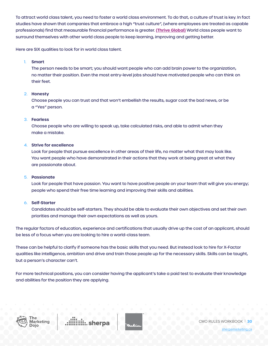To attract world class talent, you need to foster a world class environment. To do that, a culture of trust is key. In fact studies have shown that companies that embrace a high "trust culture", (where employees are treated as capable professionals) find that measurable financial performance is greater. **[\(Thrive Global\)](https://thriveglobal.com/stories/the-real-cost-of-micromanagement-and-how-to-fix-it-with-trust/)** World class people want to surround themselves with other world class people to keep learning, improving and getting better.

Here are SIX qualities to look for in world class talent.

### 1. **Smart**

The person needs to be smart; you should want people who can add brain power to the organization, no matter their position. Even the most entry-level jobs should have motivated people who can think on their feet.

### 2. **Honesty**

Choose people you can trust and that won't embellish the results, sugar coat the bad news, or be a "Yes" person.

### 3. **Fearless**

Choose people who are willing to speak up, take calculated risks, and able to admit when they make a mistake.

### 4. **Strive for excellence**

Look for people that pursue excellence in other areas of their life, no matter what that may look like. You want people who have demonstrated in their actions that they work at being great at what they are passionate about.

### 5. **Passionate**

Look for people that have passion. You want to have positive people on your team that will give you energy; people who spend their free time learning and improving their skills and abilities.

### 6. **Self-Starter**

Candidates should be self-starters. They should be able to evaluate their own objectives and set their own priorities and manage their own expectations as well as yours.

The regular factors of education, experience and certifications that usually drive up the cost of an applicant, should be less of a focus when you are looking to hire a world-class team.

These can be helpful to clarify if someone has the basic skills that you need. But instead look to hire for X-Factor qualities like intelligence, ambition and drive and train those people up for the necessary skills. Skills can be taught, but a person's character can't.

For more technical positions, you can consider having the applicant's take a paid test to evaluate their knowledge and abilities for the position they are applying.



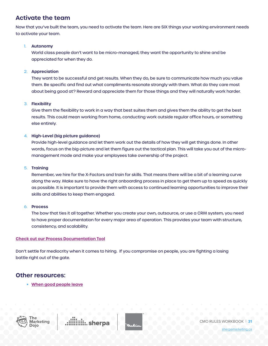## **Activate the team**

Now that you've built the team, you need to activate the team. Here are SIX things your working environment needs to activate your team.

### 1. **Autonomy**

World class people don't want to be micro-managed; they want the opportunity to shine and be appreciated for when they do.

### 2. **Appreciation**

They want to be successful and get results. When they do, be sure to communicate how much you value them. Be specific and find out what compliments resonate strongly with them. What do they care most about being good at? Reward and appreciate them for those things and they will naturally work harder.

### 3. **Flexibility**

Give them the flexibility to work in a way that best suites them and gives them the ability to get the best results. This could mean working from home, conducting work outside regular office hours, or something else entirely.

### 4. **High-Level (big picture guidance)**

Provide high-level guidance and let them work out the details of how they will get things done. In other words, focus on the big-picture and let them figure out the tactical plan. This will take you out of the micromanagement mode and make your employees take ownership of the project.

### 5. **Training**

Remember, we hire for the X-Factors and train for skills. That means there will be a bit of a learning curve along the way. Make sure to have the right onboarding process in place to get them up to speed as quickly as possible. It is important to provide them with access to continued learning opportunities to improve their skills and abilities to keep them engaged.

### 6. **Process**

The bow that ties it all together. Whether you create your own, outsource, or use a CRM system, you need to have proper documentation for every major area of operation. This provides your team with structure, consistency, and scalability.

### **[Check out our Process Documentation Tool](https://docs.google.com/spreadsheets/d/1s5fxGnf76AX7tprGENKQG8vWZLaFdWu1JRJQjnQOm5A/edit#gid=0)**

Don't settle for mediocrity when it comes to hiring. If you compromise on people, you are fighting a losing battle right out of the gate.

### **Other resources:**

**• [When good people leave](http://sherpamarketing.ca/when-good-people-leave-78)**





CMO RULES WORKBOOK | **31**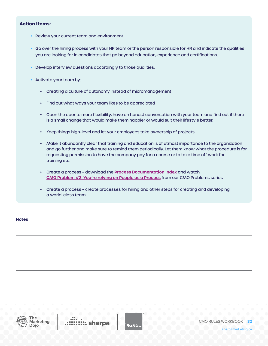### **Action Items:**

- Review your current team and environment.
- Go over the hiring process with your HR team or the person responsible for HR and indicate the qualities you are looking for in candidates that go beyond education, experience and certifications.
- Develop interview questions accordingly to those qualities.
- Activate your team by:
	- Creating a culture of autonomy instead of micromanagement
	- Find out what ways your team likes to be appreciated
	- Open the door to more flexibility, have an honest conversation with your team and find out if there is a small change that would make them happier or would suit their lifestyle better.
	- Keep things high-level and let your employees take ownership of projects.
	- Make it abundantly clear that training and education is of utmost importance to the organization and go further and make sure to remind them periodically. Let them know what the procedure is for requesting permission to have the company pay for a course or to take time off work for training etc.
	- Create a process download the **[Process Documentation Index](https://docs.google.com/spreadsheets/d/1s5fxGnf76AX7tprGENKQG8vWZLaFdWu1JRJQjnQOm5A/edit#gid=0)** and watch **[CMO Problem #3: You're relying on People as a Process](https://www.sherpamarketing.ca/dojo/the-problems)** from our CMO Problems series
	- Create a process create processes for hiring and other steps for creating and developing a world-class team.

### **Notes**



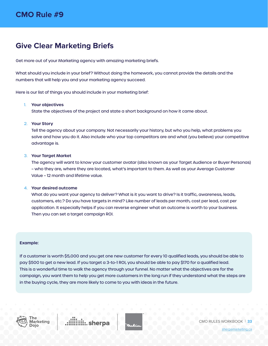## <span id="page-32-0"></span>**Give Clear Marketing Briefs**

Get more out of your Marketing agency with amazing marketing briefs.

What should you include in your brief? Without doing the homework, you cannot provide the details and the numbers that will help you and your marketing agency succeed.

Here is our list of things you should include in your marketing brief:

### 1. **Your objectives**

State the objectives of the project and state a short background on how it came about.

### 2. **Your Story**

Tell the agency about your company. Not necessarily your history, but who you help, what problems you solve and how you do it. Also include who your top competitors are and what (you believe) your competitive advantage is.

### 3. **Your Target Market**

The agency will want to know your customer avatar (also known as your Target Audience or Buyer Personas) – who they are, where they are located, what's important to them. As well as your Average Customer Value – 12 month and lifetime value.

#### 4. **Your desired outcome**

What do you want your agency to deliver? What is it you want to drive? Is it traffic, awareness, leads, customers, etc.? Do you have targets in mind? Like number of leads per month, cost per lead, cost per application. It especially helps if you can reverse engineer what an outcome is worth to your business. Then you can set a target campaign ROI.

#### **Example:**

If a customer is worth \$5,000 and you get one new customer for every 10 qualified leads, you should be able to pay \$500 to get a new lead. If you target a 3-to-1 ROI, you should be able to pay \$170 for a qualified lead. This is a wonderful time to walk the agency through your funnel. No matter what the objectives are for the campaign, you want them to help you get more customers in the long run if they understand what the steps are in the buying cycle, they are more likely to come to you with ideas in the future.



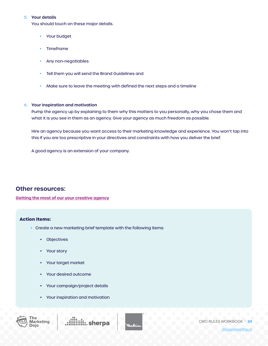### 5. **Your details**

You should touch on these major details.

- Your budget
- Timeframe
- Any non-negotiables
- Tell them you will send the Brand Guidelines and
- Make sure to leave the meeting with defined the next steps and a timeline

### 6. **Your inspiration and motivation**

Pump the agency up by explaining to them why this matters to you personally, why you chose them and what it is you see in them as an agency. Give your agency as much freedom as possible.

Hire an agency because you want access to their marketing knowledge and experience. You won't tap into this if you are too prescriptive in your directives and constraints with how you deliver the brief.

A good agency is an extension of your company.

### **Other resources:**

**[Getting the most of our your creative agency](https://www.sherpamarketing.ca/getting-the-most-out-of-your-creative-agency-605
)**

### **Action Items:**

- Create a new marketing brief template with the following items:
	- Objectives
	- Your story
	- Your target market
	- Your desired outcome
	- Your campaign/project details
	- Your inspiration and motivation



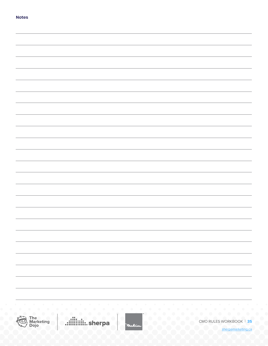| the companies of the companies of the companies of the companies of the companies of the companies of the companies |  |
|---------------------------------------------------------------------------------------------------------------------|--|





CMO RULES WORKBOOK | **35**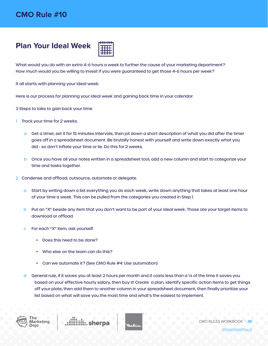## <span id="page-35-0"></span>**Plan Your Ideal Week**



What would you do with an extra 4-6 hours a week to further the cause of your marketing department? How much would you be willing to invest if you were guaranteed to get those 4-6 hours per week?

It all starts with planning your ideal week.

Here is our process for planning your ideal week and gaining back time in your calendar.

3 Steps to take to gain back your time:

- 1. Track your time for 2 weeks.
	- a Get a timer, set it for 15 minutes intervals, then jot down a short description of what you did after the timer goes off in a spreadsheet document. Be brutally honest with yourself and write down exactly what you did - so don't inflate your time or lie. Do this for 2 weeks.
	- b Once you have all your notes written in a spreadsheet tool, add a new column and start to categorize your time and tasks together.
- 2. Condense and offload, outsource, automate or delegate.
	- a Start by writing down a list everything you do each week, write down anything that takes at least one hour of your time a week. This can be pulled from the categories you created in Step 1.
	- b Put an "X" beside any item that you don't want to be part of your ideal week. Those are your target items to download or offload.
	- c For each "X" item, ask yourself.
		- Does this need to be done?
		- Who else on the team can do this?
		- Can we automate it? (See CMO Rule #4: Use automation)
	- d General rule, if it saves you at least 2 hours per month and it costs less than a  $\frac{1}{4}$  of the time it saves you based on your effective hourly salary, then buy it! Create a plan, identify specific action items to get things off your plate, then add them to another column in your spreadsheet document, then finally prioritize your list based on what will save you the most time and what's the easiest to implement.



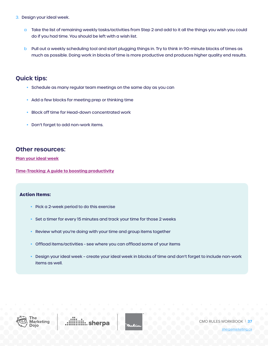- 3. Design your ideal week.
	- a Take the list of remaining weekly tasks/activities from Step 2 and add to it all the things you wish you could do if you had time. You should be left with a wish list.
	- b Pull out a weekly scheduling tool and start plugging things in. Try to think in 90-minute blocks of times as much as possible. Doing work in blocks of time is more productive and produces higher quality end results.

## **Quick tips:**

- Schedule as many regular team meetings on the same day as you can
- Add a few blocks for meeting prep or thinking time
- Block off time for Head-down concentrated work
- Don't forget to add non-work items.

### **Other resources:**

**[Plan your ideal week](https://www.sherpamarketing.ca/cmo-rule-10-plan-your-ideal-week-600)**

**[Time-Tracking: A guide to boosting productivity](https://www.sherpamarketing.ca/getting-the-most-out-of-your-creative-agency-605)**

### **Action Items:**

- Pick a 2-week period to do this exercise
- Set a timer for every 15 minutes and track your time for those 2 weeks
- Review what you're doing with your time and group items together
- Offload items/activities see where you can offload some of your items
- Design your ideal week create your ideal week in blocks of time and don't forget to include non-work items as well.



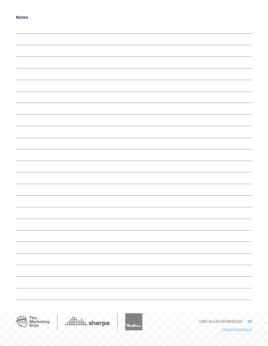| the companies of the companies of the companies of the companies of the companies of the companies of the companies |  |
|---------------------------------------------------------------------------------------------------------------------|--|





CMO RULES WORKBOOK | **38**